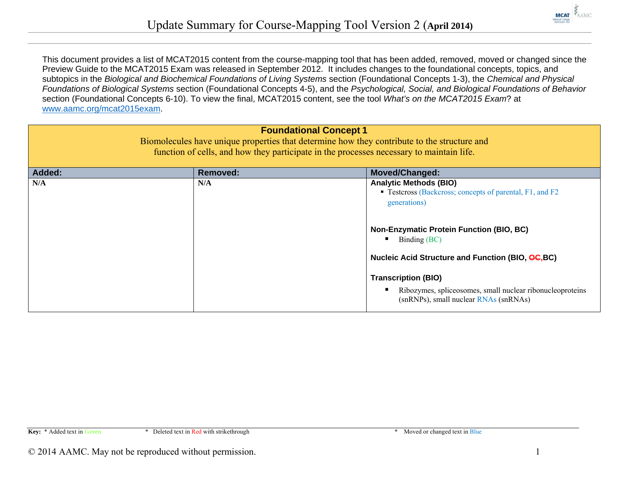

This document provides a list of MCAT2015 content from the course-mapping tool that has been added, removed, moved or changed since the Preview Guide to the MCAT2015 Exam was released in September 2012. It includes changes to the foundational concepts, topics, and subtopics in the *Biological and Biochemical Foundations of Living Systems* section (Foundational Concepts 1-3), the *Chemical and Physical Foundations of Biological Systems* section (Foundational Concepts 4-5), and the *Psychological, Social, and Biological Foundations of Behavior* section (Foundational Concepts 6-10). To view the final, MCAT2015 content, see the tool *What's on the MCAT2015 Exam*? at www.aamc.org/mcat2015exam.

| <b>Foundational Concept 1</b><br>Biomolecules have unique properties that determine how they contribute to the structure and<br>function of cells, and how they participate in the processes necessary to maintain life. |                 |                                                                                                                                                                                                                                                                                                                                                                       |  |
|--------------------------------------------------------------------------------------------------------------------------------------------------------------------------------------------------------------------------|-----------------|-----------------------------------------------------------------------------------------------------------------------------------------------------------------------------------------------------------------------------------------------------------------------------------------------------------------------------------------------------------------------|--|
| Added:                                                                                                                                                                                                                   | <b>Removed:</b> | <b>Moved/Changed:</b>                                                                                                                                                                                                                                                                                                                                                 |  |
| N/A                                                                                                                                                                                                                      | N/A             | <b>Analytic Methods (BIO)</b><br>• Testcross (Backcross; concepts of parental, F1, and F2<br>generations)<br><b>Non-Enzymatic Protein Function (BIO, BC)</b><br>Binding (BC)<br>Nucleic Acid Structure and Function (BIO, OC, BC)<br><b>Transcription (BIO)</b><br>Ribozymes, spliceosomes, small nuclear ribonucleoproteins<br>(snRNPs), small nuclear RNAs (snRNAs) |  |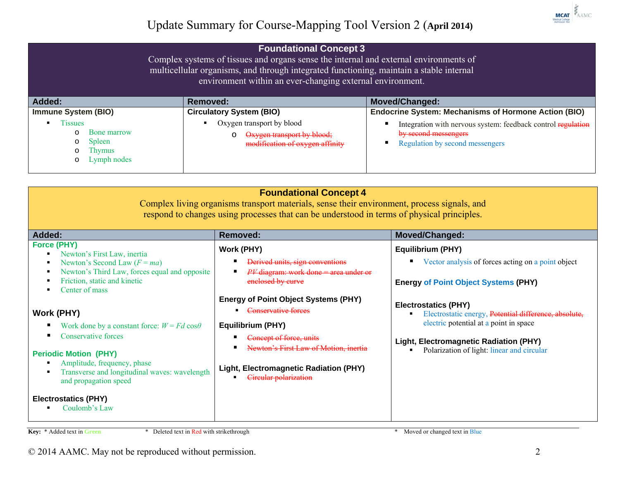|                                                                                                                      | <b>Foundational Concept 3</b><br>Complex systems of tissues and organs sense the internal and external environments of<br>multicellular organisms, and through integrated functioning, maintain a stable internal<br>environment within an ever-changing external environment. |                                                                                                                         |
|----------------------------------------------------------------------------------------------------------------------|--------------------------------------------------------------------------------------------------------------------------------------------------------------------------------------------------------------------------------------------------------------------------------|-------------------------------------------------------------------------------------------------------------------------|
| Added:                                                                                                               | Removed:                                                                                                                                                                                                                                                                       | <b>Moved/Changed:</b>                                                                                                   |
| <b>Immune System (BIO)</b>                                                                                           | <b>Circulatory System (BIO)</b>                                                                                                                                                                                                                                                | <b>Endocrine System: Mechanisms of Hormone Action (BIO)</b>                                                             |
| <b>Tissues</b><br>$\blacksquare$<br>Bone marrow<br>$\Omega$<br>Spleen<br>$\circ$<br>Thymus<br>Lymph nodes<br>$\circ$ | Oxygen transport by blood<br>Oxygen transport by blood;<br>$\circ$<br>modification of oxygen affinity                                                                                                                                                                          | Integration with nervous system: feedback control regulation<br>by second messengers<br>Regulation by second messengers |

| <b>Foundational Concept 4</b><br>Complex living organisms transport materials, sense their environment, process signals, and<br>respond to changes using processes that can be understood in terms of physical principles.                                                                                                                                                                                                                                                  |                                                                                                                                                                                                                                                                                                                                                        |                                                                                                                                                                                                                                                                                                                                                  |  |
|-----------------------------------------------------------------------------------------------------------------------------------------------------------------------------------------------------------------------------------------------------------------------------------------------------------------------------------------------------------------------------------------------------------------------------------------------------------------------------|--------------------------------------------------------------------------------------------------------------------------------------------------------------------------------------------------------------------------------------------------------------------------------------------------------------------------------------------------------|--------------------------------------------------------------------------------------------------------------------------------------------------------------------------------------------------------------------------------------------------------------------------------------------------------------------------------------------------|--|
| <b>Added:</b>                                                                                                                                                                                                                                                                                                                                                                                                                                                               | <b>Removed:</b>                                                                                                                                                                                                                                                                                                                                        | Moved/Changed:                                                                                                                                                                                                                                                                                                                                   |  |
| <b>Force (PHY)</b><br>Newton's First Law, inertia<br>Newton's Second Law $(F = ma)$<br>Newton's Third Law, forces equal and opposite<br>Friction, static and kinetic<br>Center of mass<br>Work (PHY)<br>Work done by a constant force: $W = Fd \cos \theta$<br>Conservative forces<br><b>Periodic Motion (PHY)</b><br>Amplitude, frequency, phase<br>Transverse and longitudinal waves: wavelength<br>and propagation speed<br><b>Electrostatics (PHY)</b><br>Coulomb's Law | <b>Work (PHY)</b><br>Derived units, sign conventions<br>$PV$ diagram: work done = area under or<br>enclosed by curve<br><b>Energy of Point Object Systems (PHY)</b><br>Conservative forces<br>Equilibrium (PHY)<br>Concept of force, units<br>Newton's First Law of Motion, inertia<br>Light, Electromagnetic Radiation (PHY)<br>Circular polarization | Equilibrium (PHY)<br>Vector analysis of forces acting on a point object<br><b>Energy of Point Object Systems (PHY)</b><br><b>Electrostatics (PHY)</b><br>Electrostatic energy, Potential difference, absolute,<br>electric potential at a point in space<br>Light, Electromagnetic Radiation (PHY)<br>Polarization of light: linear and circular |  |

**Key:** \* Added text in **Green** \* Deleted text in Red with strikethrough \* Moved or changed text in Blue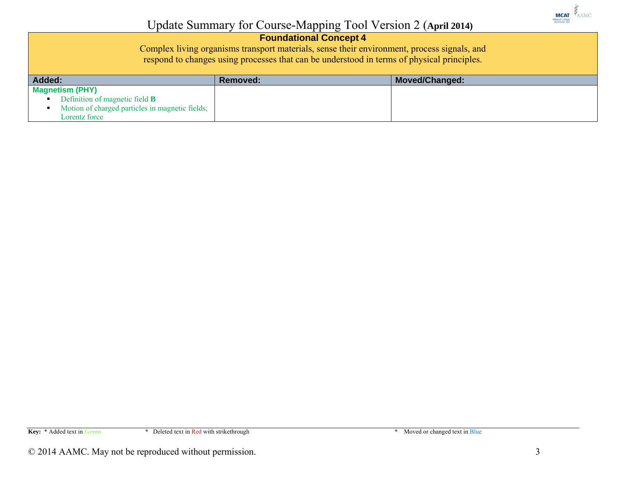

#### **Foundational Concept 4**

Complex living organisms transport materials, sense their environment, process signals, and respond to changes using processes that can be understood in terms of physical principles.

| <b>Added:</b>                                   | Removed: | <b>Moved/Changed:</b> |
|-------------------------------------------------|----------|-----------------------|
| <b>Magnetism (PHY)</b>                          |          |                       |
| Definition of magnetic field <b>B</b>           |          |                       |
| Motion of charged particles in magnetic fields; |          |                       |
| Lorentz force                                   |          |                       |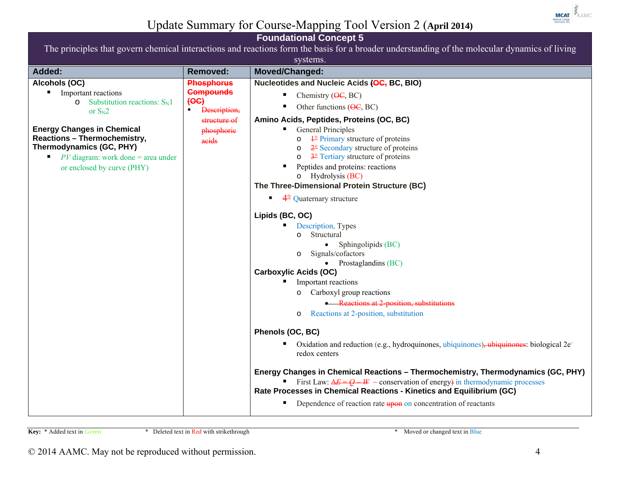

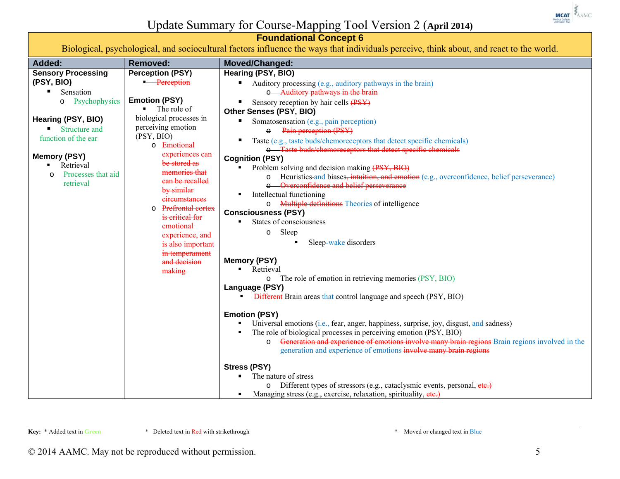

**Foundational Concept 6**  Biological, psychological, and sociocultural factors influence the ways that individuals perceive, think about, and react to the world.

| Added:                        | <b>Removed:</b>                 | Moved/Changed:                                                                                             |
|-------------------------------|---------------------------------|------------------------------------------------------------------------------------------------------------|
| <b>Sensory Processing</b>     | <b>Perception (PSY)</b>         | Hearing (PSY, BIO)                                                                                         |
| (PSY, BIO)                    | - Perception                    | Auditory processing (e.g., auditory pathways in the brain)                                                 |
| Sensation                     |                                 | o Auditory pathways in the brain                                                                           |
| Psychophysics<br>$\circ$      | <b>Emotion (PSY)</b>            | Sensory reception by hair cells (PSY)<br>ш                                                                 |
|                               | The role of                     | Other Senses (PSY, BIO)                                                                                    |
| Hearing (PSY, BIO)            | biological processes in         | Somatosensation (e.g., pain perception)                                                                    |
| $\blacksquare$ Structure and  | perceiving emotion              | Pain perception (PSY)                                                                                      |
| function of the ear           | (PSY, BIO)                      | Taste (e.g., taste buds/chemoreceptors that detect specific chemicals)                                     |
|                               | o Emotional                     | o Taste buds/chemoreceptors that detect specific chemicals                                                 |
| <b>Memory (PSY)</b>           | experiences can<br>be stored as | <b>Cognition (PSY)</b>                                                                                     |
| Retrieval                     | memories that                   | Problem solving and decision making (PSY, BIO)                                                             |
| Processes that aid<br>$\circ$ | ean be recalled                 | Heuristics-and biases, intuition, and emotion (e.g., overconfidence, belief perseverance)<br>O             |
| retrieval                     | by similar                      | Overconfidence and belief perseverance                                                                     |
|                               | eireumstances                   | Intellectual functioning                                                                                   |
|                               | <b>Prefrontal cortex</b><br>O   | <b>Multiple definitions</b> Theories of intelligence<br>$\circ$                                            |
|                               | is critical for                 | <b>Consciousness (PSY)</b>                                                                                 |
|                               | emotional                       | States of consciousness                                                                                    |
|                               | experience, and                 | Sleep<br>$\circ$                                                                                           |
|                               | is also important               | Sleep-wake disorders                                                                                       |
|                               | in temperament                  |                                                                                                            |
|                               | and decision                    | <b>Memory (PSY)</b>                                                                                        |
|                               | making                          | Retrieval<br>The role of emotion in retrieving memories (PSY, BIO)                                         |
|                               |                                 | $\circ$<br>Language (PSY)                                                                                  |
|                               |                                 | <b>Different</b> Brain areas that control language and speech (PSY, BIO)                                   |
|                               |                                 |                                                                                                            |
|                               |                                 | <b>Emotion (PSY)</b>                                                                                       |
|                               |                                 | Universal emotions (i.e., fear, anger, happiness, surprise, joy, disgust, and sadness)                     |
|                               |                                 | The role of biological processes in perceiving emotion (PSY, BIO)                                          |
|                               |                                 | Generation and experience of emotions involve many brain regions Brain regions involved in the<br>$\Omega$ |
|                               |                                 | generation and experience of emotions involve many brain regions                                           |
|                               |                                 | <b>Stress (PSY)</b>                                                                                        |
|                               |                                 | The nature of stress                                                                                       |
|                               |                                 | Different types of stressors (e.g., cataclysmic events, personal, etc.)<br>$\circ$                         |
|                               |                                 | Managing stress (e.g., exercise, relaxation, spirituality, etc.)                                           |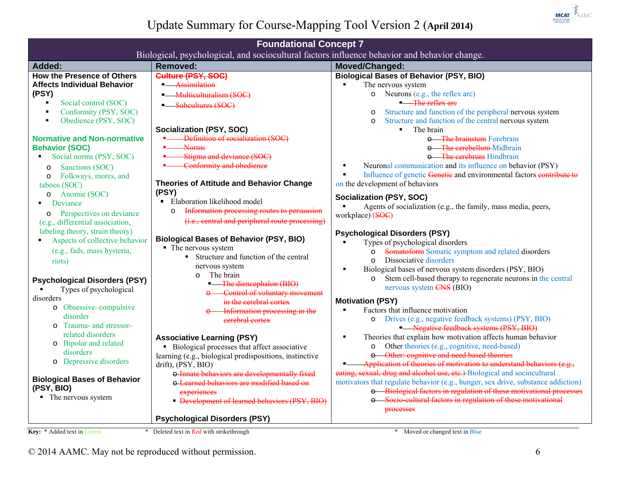

| <b>Foundational Concept 7</b>           |                                                                                              |                                                                                        |
|-----------------------------------------|----------------------------------------------------------------------------------------------|----------------------------------------------------------------------------------------|
|                                         | Biological, psychological, and sociocultural factors influence behavior and behavior change. |                                                                                        |
| <b>Added:</b>                           | <b>Removed:</b>                                                                              | Moved/Changed:                                                                         |
| <b>How the Presence of Others</b>       | Culture (PSY, SOC)                                                                           | <b>Biological Bases of Behavior (PSY, BIO)</b>                                         |
| <b>Affects Individual Behavior</b>      | - Assimilation                                                                               | The nervous system                                                                     |
| (PSY)                                   | - Multiculturalism (SOC)                                                                     | Neurons (e.g., the reflex arc)<br>$\circ$                                              |
| Social control (SOC)                    | - Subcultures (SOC)                                                                          | - The reflex are                                                                       |
| Conformity (PSY, SOC)<br>$\blacksquare$ |                                                                                              | Structure and function of the peripheral nervous system<br>$\circ$                     |
| Obedience (PSY, SOC)<br>$\blacksquare$  |                                                                                              | Structure and function of the central nervous system<br>$\circ$                        |
|                                         | Socialization (PSY, SOC)                                                                     | The brain<br>$\blacksquare$                                                            |
| <b>Normative and Non-normative</b>      | Definition of socialization (SOC)                                                            | o The brainstem Forebrain                                                              |
| <b>Behavior (SOC)</b>                   | <b>Norms</b>                                                                                 | o The cerebellum Midbrain                                                              |
| Social norms (PSY, SOC)                 | Stigma and deviance (SOC)                                                                    | o The cerebrum Hindbrain                                                               |
| Sanctions (SOC)<br>$\circ$              | Conformity and obedience                                                                     | Neuronal communication and its influence on behavior (PSY)<br>$\blacksquare$           |
| Folkways, mores, and<br>$\circ$         |                                                                                              | Influence of genetic Genetic and environmental factors contribute to<br>$\blacksquare$ |
| taboos (SOC)                            | <b>Theories of Attitude and Behavior Change</b>                                              | on the development of behaviors                                                        |
| o Anomie (SOC)                          | (PSY)                                                                                        | Socialization (PSY, SOC)                                                               |
| Deviance                                | • Elaboration likelihood model                                                               | Agents of socialization (e.g., the family, mass media, peers,                          |
| Perspectives on deviance<br>$\circ$     | Information processing routes to persuasion<br>$\circ$                                       | workplace) (SOC)                                                                       |
| (e.g., differential association,        | (i.e., central and peripheral route processing)                                              |                                                                                        |
| labeling theory, strain theory)         |                                                                                              | <b>Psychological Disorders (PSY)</b>                                                   |
| Aspects of collective behavior          | <b>Biological Bases of Behavior (PSY, BIO)</b>                                               | Types of psychological disorders                                                       |
| (e.g., fads, mass hysteria,             | • The nervous system                                                                         | Somatoform Somatic symptom and related disorders<br>$\circ$                            |
| riots)                                  | • Structure and function of the central                                                      | Dissociative disorders<br>$\Omega$                                                     |
|                                         | nervous system                                                                               | Biological bases of nervous system disorders (PSY, BIO)<br>$\blacksquare$              |
| <b>Psychological Disorders (PSY)</b>    | The brain<br>$\circ$                                                                         | Stem cell-based therapy to regenerate neurons in the central<br>$\circ$                |
| Types of psychological                  | <b>•</b> The diencephalon (BIO)                                                              | nervous system CNS (BIO)                                                               |
| disorders                               | Control of voluntary movement<br>in the cerebral cortex                                      | <b>Motivation (PSY)</b>                                                                |
| o Obsessive-compulsive                  | Information processing in the                                                                | Factors that influence motivation                                                      |
| disorder                                | eerebral cortex                                                                              | Drives (e.g., negative feedback systems) (PSY, BIO)<br>$\circ$                         |
| Trauma- and stressor-<br>$\circ$        |                                                                                              | Negative feedback systems (PSY, BIO)                                                   |
| related disorders                       | <b>Associative Learning (PSY)</b>                                                            | Theories that explain how motivation affects human behavior<br>п                       |
| o Bipolar and related                   | • Biological processes that affect associative                                               | Other theories (e.g., cognitive, need-based)<br>$\circ$                                |
| disorders                               | learning (e.g., biological predispositions, instinctive                                      | o Other: cognitive and need based theories                                             |
| o Depressive disorders                  | drift), (PSY, BIO)                                                                           | Application of theories of motivation to understand behaviors (e.g.,                   |
|                                         | o Innate behaviors are developmentally fixed                                                 | eating, sexual, drug and alcohol use, etc.) Biological and sociocultural               |
| <b>Biological Bases of Behavior</b>     | o Learned behaviors are modified based on                                                    | motivators that regulate behavior (e.g., hunger, sex drive, substance addiction)       |
| (PSY, BIO)                              | experiences                                                                                  | o Biological factors in regulation of these motivational processes                     |
| • The nervous system                    | • Development of learned behaviors (PSY, BIO)                                                | o Socio-cultural factors in regulation of these motivational                           |
|                                         |                                                                                              | processes                                                                              |
|                                         | <b>Psychological Disorders (PSY)</b>                                                         |                                                                                        |
| Key: * Added text in Green              | Deleted text in Red with strikethrough                                                       | Moved or changed text in Blue                                                          |
|                                         |                                                                                              |                                                                                        |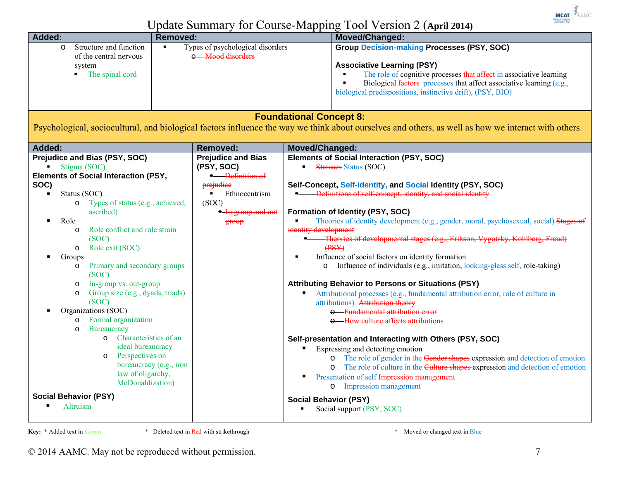

| Added:                                                                                                                                                                                                                                                                                                                                                                                                                                                                                                                                                                                                                                                                                                                                           | <b>Removed:</b>                                                                                                                  | Moved/Changed:                                                                                                                                                                                                                                                                                                                                                                                                                                                                                                                                                                                                                                                                                                                                                                                                                                                                                                                                                                                                                                                                                                                                                                                                                                                                     |
|--------------------------------------------------------------------------------------------------------------------------------------------------------------------------------------------------------------------------------------------------------------------------------------------------------------------------------------------------------------------------------------------------------------------------------------------------------------------------------------------------------------------------------------------------------------------------------------------------------------------------------------------------------------------------------------------------------------------------------------------------|----------------------------------------------------------------------------------------------------------------------------------|------------------------------------------------------------------------------------------------------------------------------------------------------------------------------------------------------------------------------------------------------------------------------------------------------------------------------------------------------------------------------------------------------------------------------------------------------------------------------------------------------------------------------------------------------------------------------------------------------------------------------------------------------------------------------------------------------------------------------------------------------------------------------------------------------------------------------------------------------------------------------------------------------------------------------------------------------------------------------------------------------------------------------------------------------------------------------------------------------------------------------------------------------------------------------------------------------------------------------------------------------------------------------------|
| Structure and function<br>$\circ$<br>of the central nervous<br>system<br>The spinal cord                                                                                                                                                                                                                                                                                                                                                                                                                                                                                                                                                                                                                                                         | Types of psychological disorders<br>o Mood disorders                                                                             | <b>Group Decision-making Processes (PSY, SOC)</b><br><b>Associative Learning (PSY)</b><br>The role of cognitive processes that affect in associative learning<br>Biological factors processes that affect associative learning (e.g.,<br>biological predispositions, instinctive drift), (PSY, BIO)                                                                                                                                                                                                                                                                                                                                                                                                                                                                                                                                                                                                                                                                                                                                                                                                                                                                                                                                                                                |
|                                                                                                                                                                                                                                                                                                                                                                                                                                                                                                                                                                                                                                                                                                                                                  |                                                                                                                                  | <b>Foundational Concept 8:</b><br>Psychological, sociocultural, and biological factors influence the way we think about ourselves and others, as well as how we interact with others.                                                                                                                                                                                                                                                                                                                                                                                                                                                                                                                                                                                                                                                                                                                                                                                                                                                                                                                                                                                                                                                                                              |
| Added:                                                                                                                                                                                                                                                                                                                                                                                                                                                                                                                                                                                                                                                                                                                                           | <b>Removed:</b>                                                                                                                  | Moved/Changed:                                                                                                                                                                                                                                                                                                                                                                                                                                                                                                                                                                                                                                                                                                                                                                                                                                                                                                                                                                                                                                                                                                                                                                                                                                                                     |
| Prejudice and Bias (PSY, SOC)<br>$\blacksquare$ Stigma (SOC)<br><b>Elements of Social Interaction (PSY,</b><br>SOC)<br>Status (SOC)<br>$\blacksquare$<br>Types of status (e.g., achieved,<br>$\circ$<br>ascribed)<br>Role<br>Role conflict and role strain<br>$\circ$<br>(SOC)<br>Role exit (SOC)<br>$\circ$<br>Groups<br>Primary and secondary groups<br>$\circ$<br>(SOC)<br>In-group vs. out-group<br>$\circ$<br>Group size (e.g., dyads, triads)<br>$\circ$<br>(SOC)<br>Organizations (SOC)<br>Formal organization<br>$\circ$<br>Bureaucracy<br>$\Omega$<br>Characteristics of an<br>$\circ$<br>ideal bureaucracy<br>Perspectives on<br>O<br>bureaucracy (e.g., iron<br>law of oligarchy,<br>McDonaldization)<br><b>Social Behavior (PSY)</b> | <b>Prejudice and Bias</b><br>(PSY, SOC)<br>- Definition of<br>prejudice<br>Ethnocentrism<br>(SOC)<br>• In group and out<br>group | <b>Elements of Social Interaction (PSY, SOC)</b><br><b>Statuses Status (SOC)</b><br>Self-Concept, Self-identity, and Social Identity (PSY, SOC)<br><b>Example:</b> Definitions of self concept, identity, and social identity<br>Formation of Identity (PSY, SOC)<br>Theories of identity development (e.g., gender, moral, psychosexual, social) Stages of<br>identity development<br>Theories of developmental stages (e.g., Erikson, Vygotsky, Kohlberg, Freud)<br>$($ PSY $)$<br>Influence of social factors on identity formation<br>Influence of individuals (e.g., imitation, looking-glass self, role-taking)<br><b>Attributing Behavior to Persons or Situations (PSY)</b><br>Attributional processes (e.g., fundamental attribution error, role of culture in<br>attributions) Attribution theory<br><b>e</b> Fundamental attribution error<br>o How culture affects attributions<br>Self-presentation and Interacting with Others (PSY, SOC)<br>Expressing and detecting emotion<br>The role of gender in the Gender shapes expression and detection of emotion<br>The role of culture in the Culture shapes expression and detection of emotion<br>Presentation of self Impression management<br>п<br>Impression management<br>$\circ$<br><b>Social Behavior (PSY)</b> |
| Altruism                                                                                                                                                                                                                                                                                                                                                                                                                                                                                                                                                                                                                                                                                                                                         |                                                                                                                                  | Social support (PSY, SOC)                                                                                                                                                                                                                                                                                                                                                                                                                                                                                                                                                                                                                                                                                                                                                                                                                                                                                                                                                                                                                                                                                                                                                                                                                                                          |

**Key:** \* Added text in **Green** \* Deleted text in Red with strikethrough \* Moved or changed text in Blue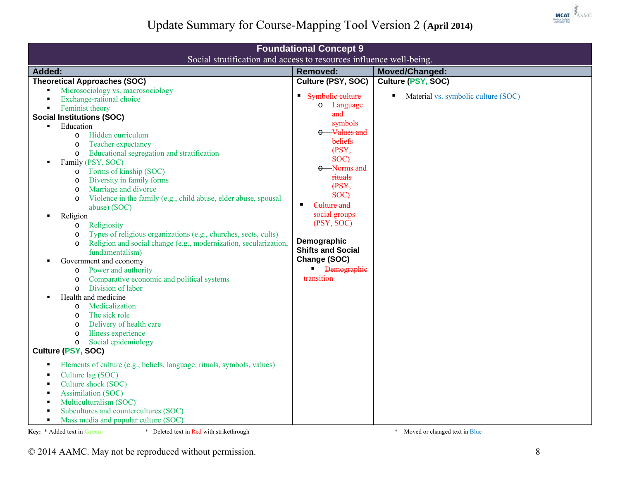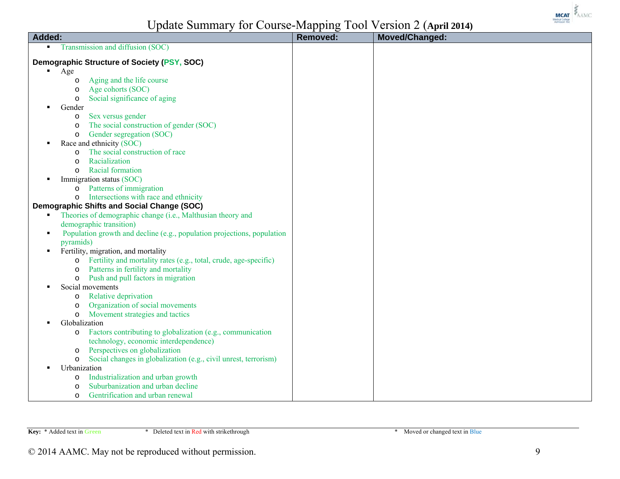

|                                                                                           | $\sim$ $\sim$ $\sim$ $\sim$ |                |
|-------------------------------------------------------------------------------------------|-----------------------------|----------------|
| Added:                                                                                    | <b>Removed:</b>             | Moved/Changed: |
| Transmission and diffusion (SOC)<br>$\blacksquare$                                        |                             |                |
| Demographic Structure of Society (PSY, SOC)                                               |                             |                |
| $\blacksquare$<br>Age                                                                     |                             |                |
| Aging and the life course<br>$\circ$                                                      |                             |                |
| Age cohorts (SOC)<br>$\circ$                                                              |                             |                |
| Social significance of aging<br>$\circ$                                                   |                             |                |
| Gender<br>$\blacksquare$                                                                  |                             |                |
| Sex versus gender<br>$\circ$                                                              |                             |                |
| The social construction of gender (SOC)<br>$\circ$                                        |                             |                |
| Gender segregation (SOC)<br>$\circ$                                                       |                             |                |
| Race and ethnicity (SOC)                                                                  |                             |                |
| The social construction of race<br>$\circ$                                                |                             |                |
| Racialization<br>$\circ$                                                                  |                             |                |
| Racial formation<br>$\circ$                                                               |                             |                |
| Immigration status (SOC)                                                                  |                             |                |
| Patterns of immigration<br>$\circ$                                                        |                             |                |
| Intersections with race and ethnicity<br>$\circ$                                          |                             |                |
| <b>Demographic Shifts and Social Change (SOC)</b>                                         |                             |                |
| Theories of demographic change (i.e., Malthusian theory and                               |                             |                |
| demographic transition)                                                                   |                             |                |
| Population growth and decline (e.g., population projections, population<br>$\blacksquare$ |                             |                |
| pyramids)                                                                                 |                             |                |
| Fertility, migration, and mortality                                                       |                             |                |
| Fertility and mortality rates (e.g., total, crude, age-specific)<br>$\circ$               |                             |                |
| Patterns in fertility and mortality<br>$\circ$                                            |                             |                |
| Push and pull factors in migration<br>$\circ$                                             |                             |                |
| Social movements                                                                          |                             |                |
| Relative deprivation<br>$\circ$                                                           |                             |                |
| Organization of social movements<br>$\circ$                                               |                             |                |
| Movement strategies and tactics<br>$\circ$                                                |                             |                |
| Globalization                                                                             |                             |                |
| Factors contributing to globalization (e.g., communication<br>$\circ$                     |                             |                |
| technology, economic interdependence)                                                     |                             |                |
| Perspectives on globalization<br>$\circ$                                                  |                             |                |
| Social changes in globalization (e.g., civil unrest, terrorism)<br>$\circ$                |                             |                |
| Urbanization                                                                              |                             |                |
| Industrialization and urban growth<br>$\circ$                                             |                             |                |
| Suburbanization and urban decline<br>$\circ$                                              |                             |                |
| Gentrification and urban renewal<br>$\Omega$                                              |                             |                |